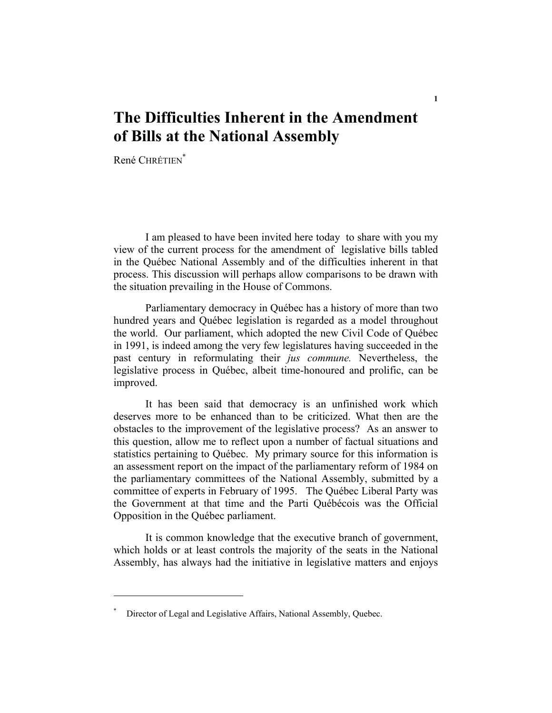## **The Difficulties Inherent in the Amendment of Bills at the National Assembly**

René CHRÉTIEN<sup>\*</sup>

 I am pleased to have been invited here today to share with you my view of the current process for the amendment of legislative bills tabled in the Québec National Assembly and of the difficulties inherent in that process. This discussion will perhaps allow comparisons to be drawn with the situation prevailing in the House of Commons.

 Parliamentary democracy in Québec has a history of more than two hundred years and Québec legislation is regarded as a model throughout the world. Our parliament, which adopted the new Civil Code of Québec in 1991, is indeed among the very few legislatures having succeeded in the past century in reformulating their *jus commune.* Nevertheless, the legislative process in Québec, albeit time-honoured and prolific, can be improved.

 It has been said that democracy is an unfinished work which deserves more to be enhanced than to be criticized. What then are the obstacles to the improvement of the legislative process? As an answer to this question, allow me to reflect upon a number of factual situations and statistics pertaining to Québec. My primary source for this information is an assessment report on the impact of the parliamentary reform of 1984 on the parliamentary committees of the National Assembly, submitted by a committee of experts in February of 1995. The Québec Liberal Party was the Government at that time and the Parti Québécois was the Official Opposition in the Québec parliament.

 It is common knowledge that the executive branch of government, which holds or at least controls the majority of the seats in the National Assembly, has always had the initiative in legislative matters and enjoys

<sup>\*</sup> Director of Legal and Legislative Affairs, National Assembly, Quebec.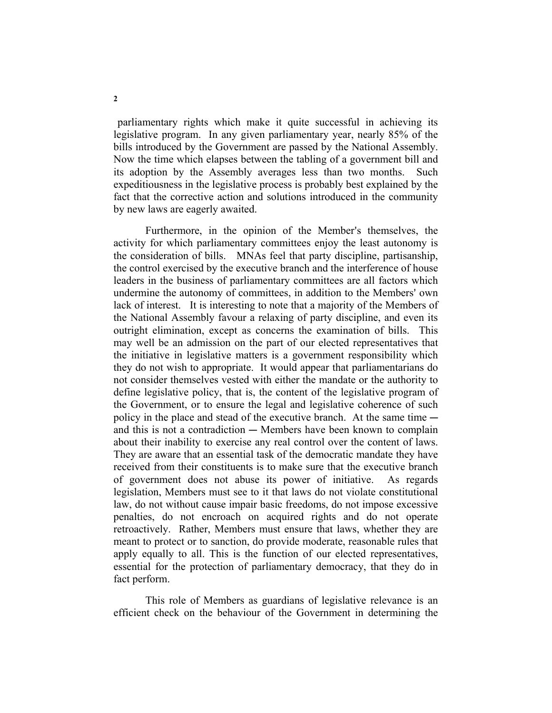parliamentary rights which make it quite successful in achieving its legislative program. In any given parliamentary year, nearly 85% of the bills introduced by the Government are passed by the National Assembly. Now the time which elapses between the tabling of a government bill and its adoption by the Assembly averages less than two months. Such expeditiousness in the legislative process is probably best explained by the fact that the corrective action and solutions introduced in the community by new laws are eagerly awaited.

Furthermore, in the opinion of the Member's themselves, the activity for which parliamentary committees enjoy the least autonomy is the consideration of bills. MNAs feel that party discipline, partisanship, the control exercised by the executive branch and the interference of house leaders in the business of parliamentary committees are all factors which undermine the autonomy of committees, in addition to the Members' own lack of interest. It is interesting to note that a majority of the Members of the National Assembly favour a relaxing of party discipline, and even its outright elimination, except as concerns the examination of bills. This may well be an admission on the part of our elected representatives that the initiative in legislative matters is a government responsibility which they do not wish to appropriate. It would appear that parliamentarians do not consider themselves vested with either the mandate or the authority to define legislative policy, that is, the content of the legislative program of the Government, or to ensure the legal and legislative coherence of such policy in the place and stead of the executive branch. At the same time  $$ and this is not a contradiction  $-$  Members have been known to complain about their inability to exercise any real control over the content of laws. They are aware that an essential task of the democratic mandate they have received from their constituents is to make sure that the executive branch of government does not abuse its power of initiative. As regards legislation, Members must see to it that laws do not violate constitutional law, do not without cause impair basic freedoms, do not impose excessive penalties, do not encroach on acquired rights and do not operate retroactively. Rather, Members must ensure that laws, whether they are meant to protect or to sanction, do provide moderate, reasonable rules that apply equally to all. This is the function of our elected representatives, essential for the protection of parliamentary democracy, that they do in fact perform.

 This role of Members as guardians of legislative relevance is an efficient check on the behaviour of the Government in determining the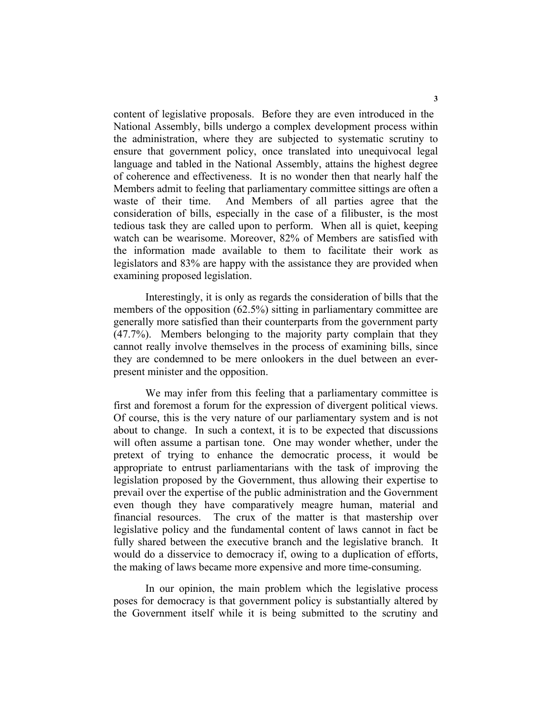content of legislative proposals. Before they are even introduced in the National Assembly, bills undergo a complex development process within the administration, where they are subjected to systematic scrutiny to ensure that government policy, once translated into unequivocal legal language and tabled in the National Assembly, attains the highest degree of coherence and effectiveness. It is no wonder then that nearly half the Members admit to feeling that parliamentary committee sittings are often a waste of their time. And Members of all parties agree that the consideration of bills, especially in the case of a filibuster, is the most tedious task they are called upon to perform. When all is quiet, keeping watch can be wearisome. Moreover, 82% of Members are satisfied with the information made available to them to facilitate their work as legislators and 83% are happy with the assistance they are provided when examining proposed legislation.

 Interestingly, it is only as regards the consideration of bills that the members of the opposition (62.5%) sitting in parliamentary committee are generally more satisfied than their counterparts from the government party (47.7%). Members belonging to the majority party complain that they cannot really involve themselves in the process of examining bills, since they are condemned to be mere onlookers in the duel between an everpresent minister and the opposition.

 We may infer from this feeling that a parliamentary committee is first and foremost a forum for the expression of divergent political views. Of course, this is the very nature of our parliamentary system and is not about to change. In such a context, it is to be expected that discussions will often assume a partisan tone. One may wonder whether, under the pretext of trying to enhance the democratic process, it would be appropriate to entrust parliamentarians with the task of improving the legislation proposed by the Government, thus allowing their expertise to prevail over the expertise of the public administration and the Government even though they have comparatively meagre human, material and financial resources. The crux of the matter is that mastership over legislative policy and the fundamental content of laws cannot in fact be fully shared between the executive branch and the legislative branch. It would do a disservice to democracy if, owing to a duplication of efforts, the making of laws became more expensive and more time-consuming.

 In our opinion, the main problem which the legislative process poses for democracy is that government policy is substantially altered by the Government itself while it is being submitted to the scrutiny and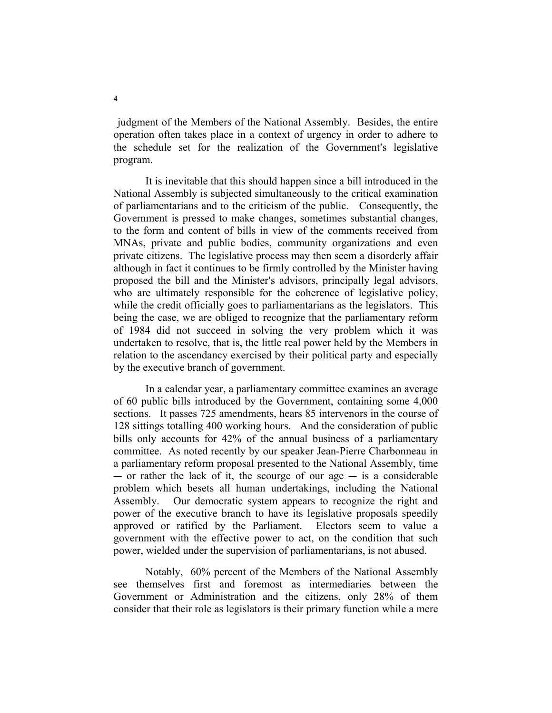judgment of the Members of the National Assembly. Besides, the entire operation often takes place in a context of urgency in order to adhere to the schedule set for the realization of the Government's legislative program.

 It is inevitable that this should happen since a bill introduced in the National Assembly is subjected simultaneously to the critical examination of parliamentarians and to the criticism of the public. Consequently, the Government is pressed to make changes, sometimes substantial changes, to the form and content of bills in view of the comments received from MNAs, private and public bodies, community organizations and even private citizens. The legislative process may then seem a disorderly affair although in fact it continues to be firmly controlled by the Minister having proposed the bill and the Minister's advisors, principally legal advisors, who are ultimately responsible for the coherence of legislative policy, while the credit officially goes to parliamentarians as the legislators. This being the case, we are obliged to recognize that the parliamentary reform of 1984 did not succeed in solving the very problem which it was undertaken to resolve, that is, the little real power held by the Members in relation to the ascendancy exercised by their political party and especially by the executive branch of government.

 In a calendar year, a parliamentary committee examines an average of 60 public bills introduced by the Government, containing some 4,000 sections. It passes 725 amendments, hears 85 intervenors in the course of 128 sittings totalling 400 working hours. And the consideration of public bills only accounts for 42% of the annual business of a parliamentary committee. As noted recently by our speaker Jean-Pierre Charbonneau in a parliamentary reform proposal presented to the National Assembly, time  $\sim$  or rather the lack of it, the scourge of our age  $\sim$  is a considerable problem which besets all human undertakings, including the National Assembly. Our democratic system appears to recognize the right and power of the executive branch to have its legislative proposals speedily approved or ratified by the Parliament. Electors seem to value a government with the effective power to act, on the condition that such power, wielded under the supervision of parliamentarians, is not abused.

 Notably, 60% percent of the Members of the National Assembly see themselves first and foremost as intermediaries between the Government or Administration and the citizens, only 28% of them consider that their role as legislators is their primary function while a mere